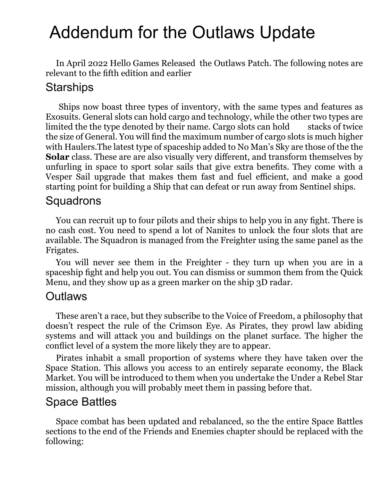# Addendum for the Outlaws Update

In April 2022 Hello Games Released the Outlaws Patch. The following notes are relevant to the fifth edition and earlier

#### **Starships**

Ships now boast three types of inventory, with the same types and features as Exosuits. General slots can hold cargo and technology, while the other two types are limited the the type denoted by their name. Cargo slots can hold stacks of twice the size of General. You will find the maximum number of cargo slots is much higher with Haulers.The latest type of spaceship added to No Man's Sky are those of the the **Solar** class. These are are also visually very different, and transform themselves by unfurling in space to sport solar sails that give extra benefits. They come with a Vesper Sail upgrade that makes them fast and fuel efficient, and make a good starting point for building a Ship that can defeat or run away from Sentinel ships.

#### **Squadrons**

You can recruit up to four pilots and their ships to help you in any fight. There is no cash cost. You need to spend a lot of Nanites to unlock the four slots that are available. The Squadron is managed from the Freighter using the same panel as the Frigates.

You will never see them in the Freighter - they turn up when you are in a spaceship fight and help you out. You can dismiss or summon them from the Quick Menu, and they show up as a green marker on the ship 3D radar.

#### **Outlaws**

These aren't a race, but they subscribe to the Voice of Freedom, a philosophy that doesn't respect the rule of the Crimson Eye. As Pirates, they prowl law abiding systems and will attack you and buildings on the planet surface. The higher the conflict level of a system the more likely they are to appear.

Pirates inhabit a small proportion of systems where they have taken over the Space Station. This allows you access to an entirely separate economy, the Black Market. You will be introduced to them when you undertake the Under a Rebel Star mission, although you will probably meet them in passing before that.

#### Space Battles

Space combat has been updated and rebalanced, so the the entire Space Battles sections to the end of the Friends and Enemies chapter should be replaced with the following: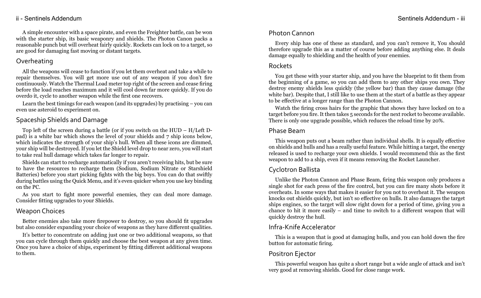#### ii - Sentinels Addendum Sentinels Addendum - iii

A simple encounter with a space pirate, and even the Freighter battle, can be won with the starter ship, its basic weaponry and shields. The Photon Canon packs a reasonable punch but will overheat fairly quickly. Rockets can lock on to a target, so are good for damaging fast moving or distant targets.

# Overheating

All the weapons will cease to function if you let them overheat and take a while to repair themselves. You will get more use out of any weapon if you don't fire continuously. Watch the Thermal Load meter top right of the screen and cease firing before the load reaches maximum and it will cool down far more quickly. If you do overdo it, cycle to another weapon while the first one recovers.

Learn the best timings for each weapon (and its upgrades) by practising – you can even use asteroid to experiment on.

# Spaceship Shields and Damage

Top left of the screen during a battle (or if you switch on the HUD – H/Left Dpad) is a white bar which shows the level of your shields and 7 ship icons below, which indicates the strength of your ship's hull. When all these icons are dimmed, your ship will be destroyed. If you let the Shield level drop to near zero, you will start to take real hull damage which takes far longer to repair.

Shields can start to recharge automatically if you aren't receiving hits, but be sure to have the resources to recharge them (Sodium, Sodium Nitrate or Starshield Batteries) before you start picking fights with the big boys. You can do that swiftly during battles using the Quick Menu, and it's even quicker when you use key binding on the PC.

As you start to fight more powerful enemies, they can deal more damage. Consider fitting upgrades to your Shields.

# Weapon Choices

Better enemies also take more firepower to destroy, so you should fit upgrades but also consider expanding your choice of weapons as they have different qualities.

It's better to concentrate on adding just one or two additional weapons, so that you can cycle through them quickly and choose the best weapon at any given time. Once you have a choice of ships, experiment by fitting different additional weapons to them.

# Photon Cannon

Every ship has one of these as standard, and you can't remove it, You should therefore upgrade this as a matter of course before adding anything else. It deals damage equally to shielding and the health of your enemies.

# Rockets

You get these with your starter ship, and you have the blueprint to fit them from the beginning of a game, so you can add them to any other ships you own. They destroy enemy shields less quickly (the yellow bar) than they cause damage (the white bar). Despite that, I still like to use them at the start of a battle as they appear to be effective at a longer range than the Photon Cannon.

Watch the firing cross hairs for the graphic that shows they have locked on to a target before you fire. It then takes 5 seconds for the next rocket to become available. There is only one upgrade possible, which reduces the reload time by 20%.

### Phase Beam

This weapon puts out a beam rather than individual shells. It is equally effective on shields and hulls and has a really useful feature. While hitting a target, the energy released is used to recharge your own shields. I would recommend this as the first weapon to add to a ship, even if it means removing the Rocket Launcher.

# Cyclotron Ballista

Unlike the Photon Cannon and Phase Beam, firing this weapon only produces a single shot for each press of the fire control, but you can fire many shots before it overheats. In some ways that makes it easier for you not to overheat it. The weapon knocks out shields quickly, but isn't so effective on hulls. It also damages the target ships engines, so the target will slow right down for a period of time, giving you a chance to hit it more easily – and time to switch to a different weapon that will quickly destroy the hull.

# Infra-Knife Accelerator

This is a weapon that is good at damaging hulls, and you can hold down the fire button for automatic firing.

# Positron Ejector

This powerful weapon has quite a short range but a wide angle of attack and isn't very good at removing shields. Good for close range work.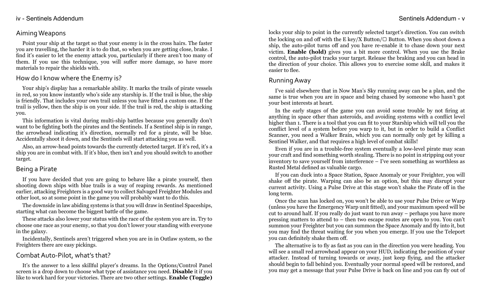#### iv - Sentinels Addendum - version of the Sentinels Addendum - version of the Sentinels Addendum - v

#### AimingWeapons

Point your ship at the target so that your enemy is in the cross hairs. The faster you are travelling, the harder it is to do that, so when you are getting close, brake. I find it's easier to let the enemy attack you, particularly if there aren't too many of them. If you use this technique, you will suffer more damage, so have more materials to repair the shields with.

#### How do I know where the Enemy is?

Your ship's display has a remarkable ability. It marks the trails of pirate vessels in red, so you know instantly who's side any starship is. If the trail is blue, the ship is friendly. That includes your own trail unless you have fitted a custom one. If the trail is yellow, then the ship is on your side. If the trail is red, the ship is attacking you.

This information is vital during multi-ship battles because you generally don't want to be fighting both the pirates and the Sentinels. If a Sentinel ship is in range, the arrowhead indicating it's direction, normally red for a pirate, will be blue. Accidentally shoot it down, and the Sentinels will start attacking you as well.

Also, an arrow-head points towards the currently detected target. If it's red, it's a ship you are in combat with. If it's blue, then isn't and you should switch to another target.

#### Being a Pirate

If you have decided that you are going to behave like a pirate yourself, then shooting down ships with blue trails is a way of reaping rewards. As mentioned earlier, attacking Freighters is a good way to collect Salvaged Freighter Modules and other loot, so at some point in the game you will probably want to do this.

The downside in law abiding systems is that you will draw in Sentinel Spaceships, starting what can become the biggest battle of the game.

These attacks also lower your status with the race of the system you are in. Try to choose one race as your enemy, so that you don't lower your standing with everyone in the galaxy.

Incidentally, Sentinels aren't triggered when you are in in Outlaw system, so the Freighters there are easy pickings.

#### Combat Auto-Pilot, what's that?

It's the answer to a less skillful player's dreams. In the Options/Control Panel screen is a drop down to choose what type of assistance you need. **Disable** it if you like to work hard for your victories. There are two other settings. **Enable (Toggle)**

locks your ship to point in the currently selected target's direction. You can switch the locking on and off with the E key/X Button/ $\Box$  Button. When you shoot down a ship, the auto-pilot turns off and you have re-enable it to chase down your next victim. **Enable (hold)** gives you a bit more control. When you use the Brake control, the auto-pilot tracks your target. Release the braking and you can head in the direction of your choice. This allows you to exercise some skill, and makes it easier to flee.

#### Running Away

I've said elsewhere that in Now Man's Sky running away can be a plan, and the same is true when you are in space and being chased by someone who hasn't got your best interests at heart.

In the early stages of the game you can avoid some trouble by not firing at anything in space other than asteroids, and avoiding systems with a conflict level higher than 1. There is a tool that you can fit to your Starship which will tell you the conflict level of a system before you warp to it, but in order to build a Conflict Scanner, you need a Walker Brain, which you can normally only get by killing a Sentinel Walker, and that requires a high level of combat skills!

Even if you are in a trouble-free system eventually a low-level pirate may scan your craft and find something worth stealing. There is no point in stripping out your inventory to save yourself from interference – I've seen something as worthless as Rusted Metal defined as valuable cargo.

If you can duck into a Space Station, Space Anomaly or your Freighter, you will shake off the pirate. Warping can also be an option, but this may disrupt your current activity. Using a Pulse Drive at this stage won't shake the Pirate off in the long term.

Once the scan has locked on, you won't be able to use your Pulse Drive or Warp (unless you have the Emergency Warp unit fitted), and your maximum speed will be cut to around half. If you really do just want to run away – perhaps you have more pressing matters to attend to – then two escape routes are open to you. You can't summon your Freighter but you can summon the Space Anomaly and fly into it, but you may find the threat waiting for you when you emerge. If you use the Teleport you can definitely shake them off.

The alternative is to fly as fast as you can in the direction you were heading. You will see a small red arrowhead appear on your HUD, indicating the position of your attacker. Instead of turning towards or away, just keep flying, and the attacker should begin to fall behind you. Eventually your normal speed will be restored, and you may get a message that your Pulse Drive is back on line and you can fly out of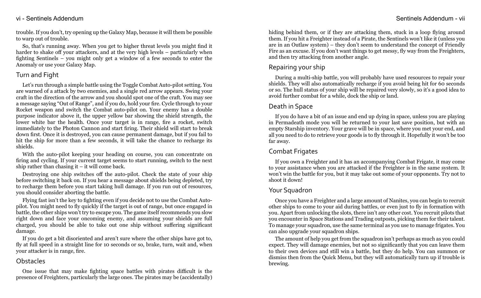#### vi - Sentinels Addendum - vii Sentinels Addendum - vii Sentinels Addendum - vii

trouble. If you don't, try opening up the Galaxy Map, because it will them be possible to warp out of trouble.

So, that's running away. When you get to higher threat levels you might find it harder to shake off your attackers, and at the very high levels – particularly when fighting Sentinels – you might only get a window of a few seconds to enter the Anomaly or use your Galaxy Map.

#### Turn and Fight

Let's run through a simple battle using the Toggle Combat Auto-pilot setting. You are warned of a attack by two enemies, and a single red arrow appears. Swing your craft in the direction of the arrow and you should spot one of the craft. You may see a message saying "Out of Range", and if you do, hold your fire. Cycle through to your Rocket weapon and switch the Combat auto-pilot on. Your enemy has a double purpose indicator above it, the upper yellow bar showing the shield strength, the lower white bar the health. Once your target is in range, fire a rocket, switch immediately to the Photon Cannon and start firing. Their shield will start to break down first. Once it is destroyed, you can cause permanent damage, but if you fail to hit the ship for more than a few seconds, it will take the chance to recharge its shields.

With the auto-pilot keeping your heading on course, you can concentrate on firing and cycling. If your current target seems to start running, switch to the next ship rather than chasing it  $-$  it will come back.

Destroying one ship switches off the auto-pilot. Check the state of your ship before switching it back on. If you hear a message about shields being depleted, try to recharge them before you start taking hull damage. If you run out of resources, you should consider aborting the battle.

Flying fast isn't the key to fighting even if you decide not to use the Combat Autopilot. You might need to fly quickly if the target is out of range, but once engaged in battle, the other ships won't try to escape you. The game itself recommends you slow right down and face your oncoming enemy, and assuming your shields are full charged, you should be able to take out one ship without suffering significant damage.

If you do get a bit disoriented and aren't sure where the other ships have got to, fly at full speed in a straight line for 10 seconds or so, brake, turn, wait and, when your attacker is in range, fire.

#### **Obstacles**

One issue that may make fighting space battles with pirates difficult is the presence of Freighters, particularly the large ones. The pirates may be (accidentally)

hiding behind them, or if they are attacking them, stuck in a loop flying around them. If you hit a Freighter instead of a Pirate, the Sentinels won't like it (unless you are in an Outlaw system) – they don't seem to understand the concept of Friendly Fire as an excuse. If you don't want things to get messy, fly way from the Freighters, and then try attacking from another angle.

# Repairing your ship

During a multi-ship battle, you will probably have used resources to repair your shields. They will also automatically recharge if you avoid being hit for 60 seconds or so. The hull status of your ship will be repaired very slowly, so it's a good idea to avoid further combat for a while, dock the ship or land.

# Death in Space

If you do have a bit of an issue and end up dying in space, unless you are playing in Permadeath mode you will be returned to your last save position, but with an empty Starship inventory. Your grave will be in space, where you met your end, and all you need to do to retrieve your goods is to fly through it. Hopefully it won't be too far away.

# Combat Frigates

If you own a Freighter and it has an accompanying Combat Frigate, it may come to your assistance when you are attacked if the Freighter is in the same system. It won't win the battle for you, but it may take out some of your opponents. Try not to shoot it down!

#### Your Squadron

Once you have a Freighter and a large amount of Nanites, you can begin to recruit other ships to come to your aid during battles, or even just to fly in formation with you. Apart from unlocking the slots, there isn't any other cost. You recruit pilots that you encounter in Space Stations and Trading outposts, picking them for their talent. To manage your squadron, use the same terminal as you use to manage frigates. You can also upgrade your squadron ships.

The amount of help you get from the squadron isn't perhaps as much as you could expect. They will damage enemies, but not so significantly that you can leave them to their own devices and still win a battle, but they do help. You can summon or dismiss then from the Quick Menu, but they will automatically turn up if trouble is brewing.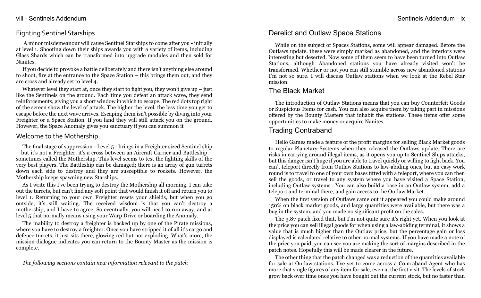#### viii - Sentinels Addendum - ix

#### Fighting Sentinel Starships

A minor misdemeanour will cause Sentinel Starships to come after you - initially at level 1. Shooting down their ships awards you with a variety of items, including Glass Shards which can be transformed into upgrade modules and then sold for Nanites.

If you decide to provoke a battle deliberately and there isn't anything else around to shoot, fire at the entrance to the Space Station – this brings them out, and they are cross and already set to level 4.

Whatever level they start at, once they start to fight you, they won't give up  $-$  just like the Sentinels on the ground. Each time you defeat an attack wave, they send reinforcements, giving you a short window in which to escape. The red dots top right of the screen show the level of attack. The higher the level, the less time you get to escape before the next wave arrives. Escaping them isn't possible by diving into your Freighter or a Space Station. If you land they will still attack you on the ground. However, the Space Anomaly gives you sanctuary if you can summon it

#### Welcome to the Mothership...

The final stage of suppression - Level 5 - brings in a Freighter sized Sentinel ship – but it's not a Freighter, it's a cross between an Aircraft Carrier and Battleship – sometimes called the Mothership. This level seems to test the fighting skills of the very best players. The Battleship can be damaged; there is an array of gun turrets down each side to destroy and they are susceptible to rockets. However, the Mothership keeps spawning new Starships.

As I write this I've been trying to destroy the Mothership all morning. I can take out the turrets, but can't find any soft point that would finish it off and return you to level 1. Returning to your own Freighter resets your shields, but when you go outside, it's still waiting. The received wisdom is that you can't destroy a mothership, and I have to agree. So eventually, you will need to run away, and at level 5 that normally means using your Warp Drive or boarding the Anomaly.

The inability to destroy a freighter is backed up by one of the Pirate missions, where you have to destroy a freighter. Once you have stripped it of all it's cargo and defence turrets, it just sits there, glowing red but not exploding. What's more, the mission dialogue indicates you can return to the Bounty Master as the mission is complete.

*The following sections contain new information relevant to the patch*

# Derelict and Outlaw Space Stations

While on the subject of Spaces Stations, some will appear damaged. Before the Outlaws update, these were simply marked as abandoned, and the interiors were interesting but deserted. Now some of them seem to have been turned into Outlaw Stations, although Abandoned stations you have already visited won't be transformed. Whether or not you can still stumble across new abandoned stations I'm not so sure. I will discuss Outlaw stations when we look at the Rebel Star mission.

# The Black Market

The introduction of Outlaw Stations means that you can buy Counterfeit Goods or Suspicious Items for cash. You can also acquire them by taking part in missions offered by the Bounty Masters that inhabit the stations. These items offer some opportunities to make money or acquire Nanites.

# Trading Contraband

Hello Games made a feature of the profit margins for selling Black Market goods to regular Planetary Systems when they released the Outlaws update. There are risks in carrying around illegal items, as it opens you up to Sentinel Ships attacks, but this danger isn't huge if you are able to travel quickly or willing to fight back. You can't teleport directly from Outlaw Stations to law-abiding ones, but an easy work round is to travel to one of your own bases fitted with a teleport, where you can then sell the goods, or travel to any system where you have visited a Space Station, including Outlaw systems . You can also build a base in an Outlaw system, add a teleport and terminal there, and gain access to the Outlaw Market.

When the first version of Outlaws came out it appeared you could make around 150% on black market goods, and large quantities were available, but there was a bug in the system, and you made no significant profit on the sales.

The 3.87 patch fixed that, but I'm not quite sure it's right yet. When you look at the price you can sell illegal goods for when using a law-abiding terminal, it shows a value that is much higher than the Outlaw price, but the percentage gain or loss displayed is calculated relative to other normal systems. If you have made a note of the price you paid, you can see you are making the sort of margins described in the patch notes. Hopefully this will be made clearer in the future.

The other thing that the patch changed was a reduction of the quantities available for sale at Outlaw stations. I've yet to come across a Contraband Agent who has more that single figures of any item for sale, even at the first visit. The levels of stock grow back over time once you have bought out the current stock, but no faster than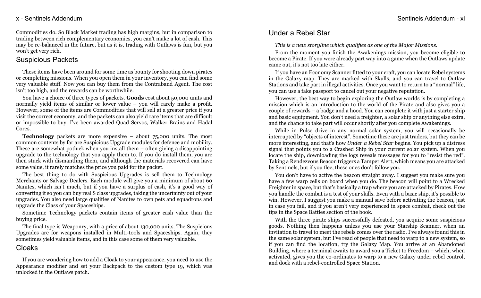#### x - Sentinels Addendum - xi

Commodities do. So Black Market trading has high margins, but in comparison to trading between rich complementary economies, you can't make a lot of cash. This may be re-balanced in the future, but as it is, trading with Outlaws is fun, but you won't get very rich.

#### Suspicious Packets

These items have been around for some time as bounty for shooting down pirates or completing missions. When you open them in your inventory, you can find some very valuable stuff. Now you can buy them from the Contraband Agent. The cost isn't too high, and the rewards can be worthwhile.

You have a choice of three types of packets. **Goods** cost about 50,000 units and normally yield items of similar or lower value – you will rarely make a profit. However, some of the items are Commodities that will sell at a greater price if you visit the correct economy, and the packets can also yield rare items that are difficult or impossible to buy. I've been awarded Quad Servos, Walker Brains and Hadal Cores.

**Technology** packets are more expensive – about 75,000 units. The most common contents by far are Suspicious Upgrade modules for defence and mobility. These are somewhat potluck when you install them – often giving a disappointing upgrade to the technology that you apply them to. If you do install them, you are then stuck with dismantling them, and although the materials recovered can have some value, it rarely matches the price you paid for the packet.

The best thing to do with Suspicious Upgrades is sell them to Technology Merchants or Salvage Dealers. Each module will give you a minimum of about 60 Nanites, which isn't much, but if you have a surplus of cash, it's a good way of converting it so you can buy real S class upgrades, taking the uncertainty out of your upgrades. You also need large qualities of Nanites to own pets and squadrons and upgrade the Class of your Spaceships.

Sometime Technology packets contain items of greater cash value than the buying price.

The final type is Weaponry, with a price of about 130,000 units. The Suspicions Upgrades are for weapons installed in Multi-tools and Spaceships. Again, they sometimes yield valuable items, and in this case some of them very valuable.

#### Cloaks

If you are wondering how to add a Cloak to your appearance, you need to use the Appearance modifier and set your Backpack to the custom type 19, which was unlocked in the Outlaws patch.

# Under a Rebel Star

*This is a new storyline which qualifies as one of the Major Missions.*

From the moment you finish the Awakenings mission, you become eligible to become a Pirate. If you were already part way into a game when the Outlaws update came out, it's not too late either.

If you have an Economy Scanner fitted to your craft, you can locate Rebel systems in the Galaxy map. They are marked with Skulls, and you can travel to Outlaw Stations and take part in illegal activities. Once you want to return to a "normal" life, you can use a fake passport to cancel out your negative reputation.

However, the best way to begin exploring the Outlaw worlds is by completing a mission which is an introduction to the world of the Pirate and also gives you a couple of rewards – a badge and a hood. You can complete it with just a starter ship and basic equipment. You don't need a freighter, a solar ship or anything else extra, and the chance to take part will occur shortly after you complete Awakenings.

While in Pulse drive in any normal solar system, you will occasionally be interrupted by "objects of interest". Sometime these are just traders, but they can be more interesting, and that's how *Under a Rebel Star* begins. You pick up a distress signal that points you to a Crashed Ship in your current solar system. When you locate the ship, downloading the logs reveals messages for you to "resist the red". Taking a Rendezvous Beacon triggers a Tamper Alert, which means you are attacked by Sentinels, but if you flee, these ones don't follow you.

You don't have to active the beacon straight away. I suggest you make sure you have a few warp cells on board when you do. The beacon will point to a Wrecked Freighter in space, but that's basically a trap where you are attacked by Pirates. How you handle the combat is a test of your skills. Even with a basic ship, it's possible to win. However, I suggest you make a manual save before activating the beacon, just in case you fail, and if you aren't very experienced in space combat, check out the tips in the Space Battles section of the book.

With the three pirate ships successfully defeated, you acquire some suspicious goods. Nothing then happens unless you use your Starship Scanner, when an invitation to travel to meet the rebels comes over the radio. I've always found this in the same solar system, but I've read of people that need to warp to a new system, so if you can find the location, try the Galaxy Map. You arrive at an Abandoned Building, where a terminal awaits to award you a Ticket to Freedom – which, when activated, gives you the co-ordinates to warp to a new Galaxy under rebel control, and dock with a rebel-controlled Space Station.